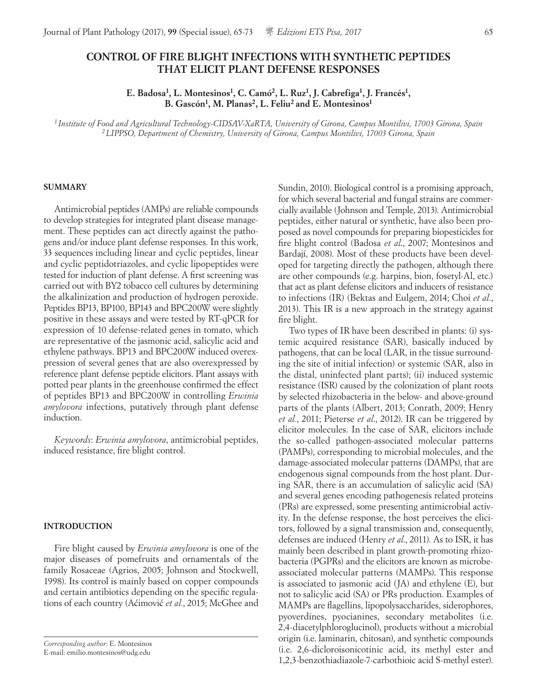# **CONTROL OF FIRE BLIGHT INFECTIONS WITH SYNTHETIC PEPTIDES THAT ELICIT PLANT DEFENSE RESPONSES**

**E. Badosa1, L. Montesinos1, C. Camó2, L. Ruz1, J. Cabrefiga1, J. Francés1,**  B. Gascón<sup>1</sup>, M. Planas<sup>2</sup>, L. Feliu<sup>2</sup> and E. Montesinos<sup>1</sup>

*<sup>1</sup> Institute of Food and Agricultural Technology-CIDSAV-XaRTA, University of Girona, Campus Montilivi, 17003 Girona, Spain 2LIPPSO, Department of Chemistry, University of Girona, Campus Montilivi, 17003 Girona, Spain*

### **SUMMARY**

Antimicrobial peptides (AMPs) are reliable compounds to develop strategies for integrated plant disease management. These peptides can act directly against the pathogens and/or induce plant defense responses. In this work, 33 sequences including linear and cyclic peptides, linear and cyclic peptidotriazoles, and cyclic lipopeptides were tested for induction of plant defense. A first screening was carried out with BY2 tobacco cell cultures by determining the alkalinization and production of hydrogen peroxide. Peptides BP13, BP100, BP143 and BPC200W were slightly positive in these assays and were tested by RT-qPCR for expression of 10 defense-related genes in tomato, which are representative of the jasmonic acid, salicylic acid and ethylene pathways. BP13 and BPC200W induced overexpression of several genes that are also overexpressed by reference plant defense peptide elicitors. Plant assays with potted pear plants in the greenhouse confirmed the effect of peptides BP13 and BPC200W in controlling *Erwinia amylovora* infections, putatively through plant defense induction.

*Keywords*: *Erwinia amylovora*, antimicrobial peptides, induced resistance, fire blight control.

#### **INTRODUCTION**

Fire blight caused by *Erwinia amylovora* is one of the major diseases of pomefruits and ornamentals of the family Rosaceae (Agrios, 2005; Johnson and Stockwell, 1998). Its control is mainly based on copper compounds and certain antibiotics depending on the specific regulations of each country (Aćimović *et al.*, 2015; McGhee and

Sundin, 2010). Biological control is a promising approach, for which several bacterial and fungal strains are commercially available (Johnson and Temple, 2013). Antimicrobial peptides, either natural or synthetic, have also been proposed as novel compounds for preparing biopesticides for fire blight control (Badosa *et al*., 2007; Montesinos and Bardají, 2008). Most of these products have been developed for targeting directly the pathogen, although there are other compounds (e.g. harpins, bion, fosetyl-Al, etc.) that act as plant defense elicitors and inducers of resistance to infections (IR) (Bektas and Eulgem, 2014; Choi *et al*., 2013). This IR is a new approach in the strategy against fire blight.

Two types of IR have been described in plants: (i) systemic acquired resistance (SAR), basically induced by pathogens, that can be local (LAR, in the tissue surrounding the site of initial infection) or systemic (SAR, also in the distal, uninfected plant parts); (ii) induced systemic resistance (ISR) caused by the colonization of plant roots by selected rhizobacteria in the below- and above-ground parts of the plants (Albert, 2013; Conrath, 2009; Henry *et al.*, 2011; Pieterse *et al*., 2012). IR can be triggered by elicitor molecules. In the case of SAR, elicitors include the so-called pathogen-associated molecular patterns (PAMPs), corresponding to microbial molecules, and the damage-associated molecular patterns (DAMPs), that are endogenous signal compounds from the host plant. During SAR, there is an accumulation of salicylic acid (SA) and several genes encoding pathogenesis related proteins (PRs) are expressed, some presenting antimicrobial activity. In the defense response, the host perceives the elicitors, followed by a signal transmission and, consequently, defenses are induced (Henry *et al*., 2011). As to ISR, it has mainly been described in plant growth-promoting rhizobacteria (PGPRs) and the elicitors are known as microbeassociated molecular patterns (MAMPs). This response is associated to jasmonic acid (JA) and ethylene (E), but not to salicylic acid (SA) or PRs production. Examples of MAMPs are flagellins, lipopolysaccharides, siderophores, pyoverdines, pyocianines, secondary metabolites (i.e. 2,4-diacetylphloroglucinol), products without a microbial origin (i.e. laminarin, chitosan), and synthetic compounds (i.e. 2,6-dicloroisonicotinic acid, its methyl ester and 1,2,3-benzothiadiazole-7-carbothioic acid S-methyl ester).

*Corresponding author*: E. Montesinos E-mail: emilio.montesinos@udg.edu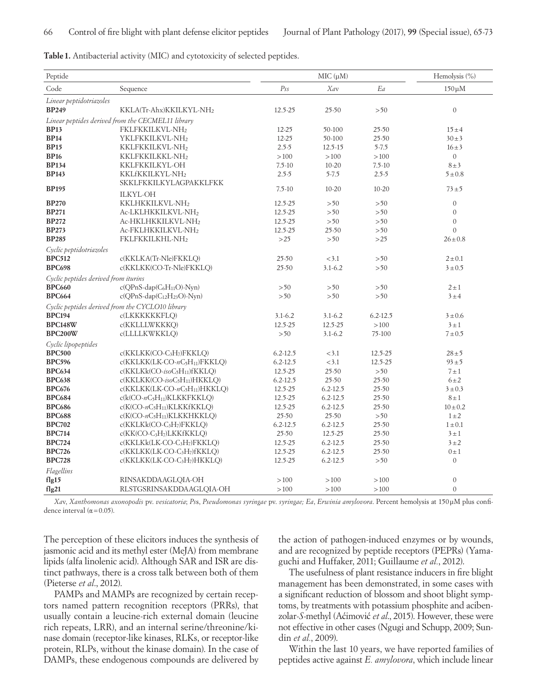| Table 1. Antibacterial activity (MIC) and cytotoxicity of selected peptides |
|-----------------------------------------------------------------------------|
|-----------------------------------------------------------------------------|

| Peptide                              |                                                     | MIC (µM)                            |              |              |                  |  |
|--------------------------------------|-----------------------------------------------------|-------------------------------------|--------------|--------------|------------------|--|
| Code                                 | Sequence                                            | Ps <sub>S</sub>                     | Xav          | Ea           | $150 \mu M$      |  |
| Linear peptidotriazoles              |                                                     |                                     |              |              |                  |  |
| <b>BP249</b>                         | KKLA(Tr-Ahx)KKILKYL-NH2                             | 12.5-25                             | 25-50        | > 50         | $\mathbf{0}$     |  |
|                                      | Linear peptides derived from the CECMEL11 library   |                                     |              |              |                  |  |
| <b>BP13</b>                          | FKLFKKILKVL-NH2                                     | $12 - 25$                           | 50-100       | 25-50        | $15 \pm 4$       |  |
| <b>BP14</b>                          | YKLFKKILKVL-NH2                                     | $12 - 25$                           | 50-100       | 25-50        | $30 \pm 3$       |  |
| <b>BP15</b>                          | KKLFKKILKVL-NH2                                     | $2.5 - 5$                           | 12.5-15      | $5 - 7.5$    | $16 \pm 3$       |  |
| <b>BP16</b>                          | KKLFKKILKKL-NH2                                     | >100                                | >100         | >100         | $\mathbf{0}$     |  |
| <b>BP134</b>                         | KKLFKKILKYL-OH                                      | $7.5 - 10$                          | $10 - 20$    | $7.5 - 10$   | $8 \pm 3$        |  |
| <b>BP143</b>                         | KKLfKKILKYL-NH2                                     | $2.5 - 5$<br>$5 - 7.5$<br>$2.5 - 5$ |              |              | 5 ± 0.8          |  |
|                                      | SKKLFKKILKYLAGPAKKLFKK                              |                                     |              |              |                  |  |
| <b>BP195</b>                         | <b>ILKYL-OH</b>                                     | $7.5 - 10$                          | $10 - 20$    | $10 - 20$    | $73 + 5$         |  |
| <b>BP270</b>                         | KKLHKKILKVL-NH2                                     | 12.5-25                             | > 50         | >50          | $\mathbf{0}$     |  |
| <b>BP271</b>                         | Ac-LKLHKKILKVL-NH2                                  | 12.5-25                             | > 50         | > 50         | $\mathbf{0}$     |  |
| <b>BP272</b>                         | Ac-HKLHKKILKVL-NH2                                  | 12.5-25                             | > 50         | >50          | $\overline{0}$   |  |
| <b>BP273</b>                         | Ac-FKLHKKILKVL-NH2                                  | 12.5-25                             | 25-50        | >50          | $\overline{0}$   |  |
| <b>BP285</b>                         | FKLFKKILKHL-NH2                                     | >25                                 | > 50         | >25          | $26 \pm 0.8$     |  |
| Cyclic peptidotriazoles              |                                                     |                                     |              |              |                  |  |
| <b>BPC512</b>                        | c(KKLKA(Tr-Nle)FKKLQ)                               | $25 - 50$                           | < 3.1        | >50          | $2 \pm 0.1$      |  |
| <b>BPC698</b>                        | c(KKLKK(CO-Tr-Nle)FKKLQ)                            | $25 - 50$                           | $3.1 - 6.2$  | >50          | $3 \pm 0.5$      |  |
| Cyclic peptides derived from iturins |                                                     |                                     |              |              |                  |  |
| <b>BPC660</b>                        | $c(QPnS\text{-}dap(C6H11O)-Nyn)$                    | > 50                                | > 50         | >50          | $2 \pm 1$        |  |
| <b>BPC664</b>                        | $c(QPnS\text{-}dap(C_{12}H_{23}O)\text{-}Nyn)$      | >50                                 | > 50         | >50          | 3±4              |  |
|                                      | Cyclic peptides derived from the CYCLO10 library    |                                     |              |              |                  |  |
| <b>BPC194</b>                        | c(LKKKKKKFLO)                                       | $3.1 - 6.2$                         | $3.1 - 6.2$  | $6.2 - 12.5$ | $3 + 0.6$        |  |
| <b>BPC148W</b>                       | c(KKLLLWKKKQ)                                       | 12.5-25                             | 12.5-25      | >100         | $3 \pm 1$        |  |
| BPC200W                              | c(LLLLKWKKLQ)                                       | $>50$                               | $3.1 - 6.2$  | 75-100       | 7 ± 0.5          |  |
| Cyclic lipopeptides                  |                                                     |                                     |              |              |                  |  |
| <b>BPC500</b>                        | c(KKLKK(CO-C <sub>3</sub> H <sub>7</sub> )FKKLQ)    | $6.2 - 12.5$                        | < 3.1        | 12.5-25      | $28 + 5$         |  |
| <b>BPC596</b>                        | $c(KKLKK(LK-CO-nC5H11)FKKLO)$                       | $6.2 - 12.5$                        | < 3.1        | 12.5-25      | $93 \pm 5$       |  |
| <b>BPC634</b>                        | $c(KKLKk(CO-isoC5H11)fKKLQ)$                        | 12.5-25                             | 25-50        | $>50$        | $7 \pm 1$        |  |
| <b>BPC638</b>                        | $c(KKLKK(CO-isoC5H11)HKKLQ)$                        | $6.2 - 12.5$                        | $25 - 50$    | 25-50        | $6\pm2$          |  |
| <b>BPC676</b>                        | $c(KKLKK(LK-CO-nC5H11)HKKLO)$                       | 12.5-25                             | $6.2 - 12.5$ | 25-50        | $3 \pm 0.3$      |  |
| <b>BPC684</b>                        | $c(k(CO - nC5H11)KLKKFKKLQ)$                        | 12.5-25                             | $6.2 - 12.5$ | 25-50        | $8 \pm 1$        |  |
| <b>BPC686</b>                        | $c(K({\rm CO-}nC_5H_{11})KLKKfKKLQ)$                | 12.5-25                             | $6.2 - 12.5$ | 25-50        | $10 \pm 0.2$     |  |
| <b>BPC688</b>                        | $c(K(CO - nC5H11)KLKKHKKLQ)$                        | 25-50                               | $25 - 50$    | >50          | $1 \pm 2$        |  |
| <b>BPC702</b>                        | $c(KKLKk(CO-C3H7)FKKLO)$                            | $6.2 - 12.5$                        | $6.2 - 12.5$ | 25-50        | $1 \pm 0.1$      |  |
| <b>BPC714</b>                        | $c(KK(CO-C3H7)LKKfKKLQ)$                            | $25 - 50$                           | 12.5-25      | 25-50        | $3 \pm 1$        |  |
| <b>BPC724</b>                        | c(KKLKk(LK-CO-C <sub>3</sub> H <sub>7</sub> )FKKLQ) | 12.5-25                             | $6.2 - 12.5$ | 25-50        | $3 \pm 2$        |  |
| <b>BPC726</b>                        | c(KKLKK(LK-CO-C <sub>3</sub> H <sub>7</sub> )fKKLQ) | 12.5-25                             | $6.2 - 12.5$ | 25-50        | $0 \pm 1$        |  |
| <b>BPC728</b>                        | c(KKLKK(LK-CO-C <sub>3</sub> H <sub>7</sub> )HKKLQ) | 12.5-25                             | $6.2 - 12.5$ | >50          | $\mathbf{0}$     |  |
| Flagellins                           |                                                     |                                     |              |              |                  |  |
| flg15                                | RINSAKDDAAGLQIA-OH                                  | >100                                | >100         | >100         | $\boldsymbol{0}$ |  |
| flg21                                | RLSTGSRINSAKDDAAGLQIA-OH                            | >100                                | >100         | >100         | $\overline{0}$   |  |

*Xa*v, *Xanthomonas axonopodis* pv. *vesicatoria*; *Ps*s, *Pseudomonas syringae* pv. *syringae; Ea*, *Erwinia amylovora*. Percent hemolysis at 150μM plus confidence interval  $(\alpha = 0.05)$ .

The perception of these elicitors induces the synthesis of jasmonic acid and its methyl ester (MeJA) from membrane lipids (alfa linolenic acid). Although SAR and ISR are distinct pathways, there is a cross talk between both of them (Pieterse *et al*., 2012).

PAMPs and MAMPs are recognized by certain receptors named pattern recognition receptors (PRRs), that usually contain a leucine-rich external domain (leucine rich repeats, LRR), and an internal serine/threonine/kinase domain (receptor-like kinases, RLKs, or receptor-like protein, RLPs, without the kinase domain). In the case of DAMPs, these endogenous compounds are delivered by

the action of pathogen-induced enzymes or by wounds, and are recognized by peptide receptors (PEPRs) (Yamaguchi and Huffaker, 2011; Guillaume *et al.*, 2012).

The usefulness of plant resistance inducers in fire blight management has been demonstrated, in some cases with a significant reduction of blossom and shoot blight symptoms, by treatments with potassium phosphite and acibenzolar-*S*-methyl (Aćimović *et al*., 2015). However, these were not effective in other cases (Ngugi and Schupp, 2009; Sundin *et al.*, 2009).

Within the last 10 years, we have reported families of peptides active against *E. amylovora*, which include linear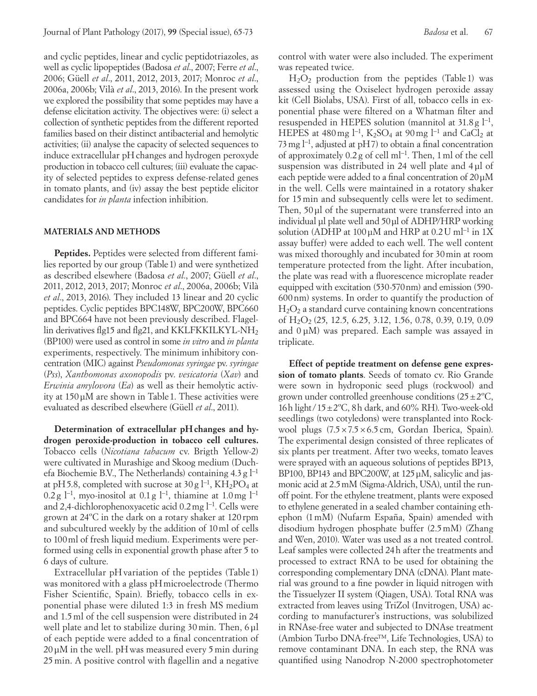and cyclic peptides, linear and cyclic peptidotriazoles, as well as cyclic lipopeptides (Badosa *et al*., 2007; Ferre *et al*., 2006; Güell *et al*., 2011, 2012, 2013, 2017; Monroc *et al*., 2006a, 2006b; Vilà *et al*., 2013, 2016). In the present work we explored the possibility that some peptides may have a defense elicitation activity. The objectives were: (i) select a collection of synthetic peptides from the different reported families based on their distinct antibacterial and hemolytic activities; (ii) analyse the capacity of selected sequences to induce extracellular pHchanges and hydrogen peroxyde production in tobacco cell cultures; (iii) evaluate the capacity of selected peptides to express defense-related genes in tomato plants, and (iv) assay the best peptide elicitor candidates for *in planta* infection inhibition.

#### **MATERIALS AND METHODS**

**Peptides.** Peptides were selected from different families reported by our group (Table1) and were synthetized as described elsewhere (Badosa *et al*., 2007; Güell *et al*., 2011, 2012, 2013, 2017; Monroc *et al*., 2006a, 2006b; Vilà *et al*., 2013, 2016). They included 13 linear and 20 cyclic peptides. Cyclic peptides BPC148W, BPC200W, BPC660 and BPC664 have not been previously described. Flagellin derivatives flg15 and flg21, and KKLFKKILKYL-NH<sub>2</sub> (BP100) were used as control in some *in vitro* and *in planta*  experiments, respectively. The minimum inhibitory concentration (MIC) against *Pseudomonas syringae* pv. *syringae* (*Pss*), *Xanthomonas axonopodis* pv. *vesicatoria* (*Xav*) and *Erwinia amylovora* (*Ea*) as well as their hemolytic activity at 150μM are shown in Table 1. These activities were evaluated as described elsewhere (Güell *et al*., 2011).

Determination of extracellular pH changes and hy**drogen peroxide-production in tobacco cell cultures.**  Tobacco cells (*Nicotiana tabacum* cv. Brigth Yellow-2) were cultivated in Murashige and Skoog medium (Duchefa Biochemie B.V., The Netherlands) containing 4.3g l−1 at pH5.8, completed with sucrose at 30 g  $l^{-1}$ , KH<sub>2</sub>PO<sub>4</sub> at 0.2 g l<sup>-1</sup>, myo-inositol at 0.1 g l<sup>-1</sup>, thiamine at 1.0 mg l<sup>-1</sup> and 2,4-dichlorophenoxyacetic acid 0.2mg l−1. Cells were grown at 24ºC in the dark on a rotary shaker at 120 rpm and subcultured weekly by the addition of 10ml of cells to 100ml of fresh liquid medium. Experiments were performed using cells in exponential growth phase after 5 to 6 days of culture.

Extracellular pH variation of the peptides (Table 1) was monitored with a glass pH microelectrode (Thermo Fisher Scientific, Spain). Briefly, tobacco cells in exponential phase were diluted 1:3 in fresh MS medium and 1.5ml of the cell suspension were distributed in 24 well plate and let to stabilize during 30min. Then, 6 μl of each peptide were added to a final concentration of 20 μM in the well. pH was measured every 5min during 25 min. A positive control with flagellin and a negative control with water were also included. The experiment was repeated twice.

 $H<sub>2</sub>O<sub>2</sub>$  production from the peptides (Table 1) was assessed using the Oxiselect hydrogen peroxide assay kit (Cell Biolabs, USA). First of all, tobacco cells in exponential phase were filtered on a Whatman filter and resuspended in HEPES solution (mannitol at 31.8 g l−1, HEPES at 480 mg  $l^{-1}$ , K<sub>2</sub>SO<sub>4</sub> at 90 mg  $l^{-1}$  and CaCl<sub>2</sub> at 73 mg l<sup>-1</sup>, adjusted at pH7) to obtain a final concentration of approximately 0.2 g of cell ml−1. Then, 1ml of the cell suspension was distributed in 24 well plate and 4 μl of each peptide were added to a final concentration of 20μM in the well. Cells were maintained in a rotatory shaker for 15min and subsequently cells were let to sediment. Then, 50 μl of the supernatant were transferred into an individual μl plate well and 50μl of ADHP/HRP working solution (ADHP at  $100 \mu$ M and HRP at  $0.2 U$  ml<sup>-1</sup> in 1X assay buffer) were added to each well. The well content was mixed thoroughly and incubated for 30min at room temperature protected from the light. After incubation, the plate was read with a fluorescence microplate reader equipped with excitation (530-570nm) and emission (590- 600 nm) systems. In order to quantify the production of  $H<sub>2</sub>O<sub>2</sub>$  a standard curve containing known concentrations of H<sub>2</sub>O<sub>2</sub> (25, 12.5, 6.25, 3.12, 1.56, 0.78, 0.39, 0.19, 0.09 and 0 μM) was prepared. Each sample was assayed in triplicate.

**Effect of peptide treatment on defense gene expression of tomato plants**. Seeds of tomato cv. Rio Grande were sown in hydroponic seed plugs (rockwool) and grown under controlled greenhouse conditions  $(25\pm2^{\circ}C,$ 16h light/15 $\pm$ 2°C, 8h dark, and 60% RH). Two-week-old seedlings (two cotyledons) were transplanted into Rockwool plugs (7.5×7.5×6.5 cm, Gordan Iberica, Spain). The experimental design consisted of three replicates of six plants per treatment. After two weeks, tomato leaves were sprayed with an aqueous solutions of peptides BP13, BP100, BP143 and BPC200W, at 125μM, salicylic and jasmonic acid at 2.5mM (Sigma-Aldrich, USA), until the runoff point. For the ethylene treatment, plants were exposed to ethylene generated in a sealed chamber containing ethephon (1mM) (Nufarm España, Spain) amended with disodium hydrogen phosphate buffer (2.5mM) (Zhang and Wen, 2010). Water was used as a not treated control. Leaf samples were collected 24h after the treatments and processed to extract RNA to be used for obtaining the corresponding complementary DNA (cDNA). Plant material was ground to a fine powder in liquid nitrogen with the Tissuelyzer II system (Qiagen, USA). Total RNA was extracted from leaves using TriZol (Invitrogen, USA) according to manufacturer's instructions, was solubilized in RNAse-free water and subjected to DNAse treatment (Ambion Turbo DNA-free™, Life Technologies, USA) to remove contaminant DNA. In each step, the RNA was quantified using Nanodrop N-2000 spectrophotometer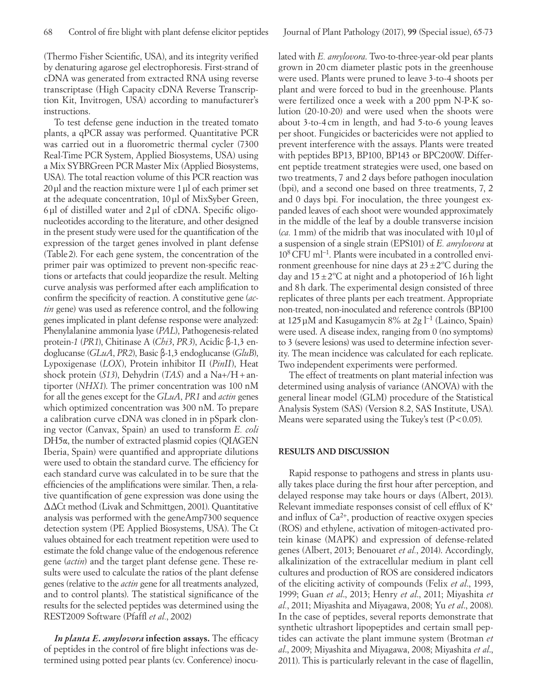(Thermo Fisher Scientific, USA), and its integrity verified by denaturing agarose gel electrophoresis. First-strand of cDNA was generated from extracted RNA using reverse transcriptase (High Capacity cDNA Reverse Transcription Kit, Invitrogen, USA) according to manufacturer's instructions.

To test defense gene induction in the treated tomato plants, a qPCR assay was performed. Quantitative PCR was carried out in a fluorometric thermal cycler (7300 Real-Time PCR System, Applied Biosystems, USA) using a Mix SYBRGreen PCR Master Mix (Applied Biosystems, USA). The total reaction volume of this PCR reaction was 20μl and the reaction mixture were 1μl of each primer set at the adequate concentration, 10μl of MixSyber Green, 6μl of distilled water and 2μl of cDNA. Specific oligonucleotides according to the literature, and other designed in the present study were used for the quantification of the expression of the target genes involved in plant defense (Table 2). For each gene system, the concentration of the primer pair was optimized to prevent non-specific reactions or artefacts that could jeopardize the result. Melting curve analysis was performed after each amplification to confirm the specificity of reaction. A constitutive gene (*actin* gene) was used as reference control, and the following genes implicated in plant defense response were analyzed: Phenylalanine ammonia lyase (*PAL*), Pathogenesis-related protein-*1* (*PR1*), Chitinase A (*Chi3*, *PR3*), Acidic β-1,3 endoglucanse (*GLuA*, *PR2*), Basic β-1,3 endoglucanse (*GluB*), Lypoxigenase (*LOX*), Protein inhibitor II (*PinII*), Heat shock protein (*S13*), Dehydrin (*TAS*) and a Na+/H+antiporter (*NHX1*). The primer concentration was 100 nM for all the genes except for the *GLuA*, *PR1* and *actin* genes which optimized concentration was 300 nM. To prepare a calibration curve cDNA was cloned in in pSpark cloning vector (Canvax, Spain) an used to transform *E. coli* DH5α, the number of extracted plasmid copies (QIAGEN Iberia, Spain) were quantified and appropriate dilutions were used to obtain the standard curve. The efficiency for each standard curve was calculated in to be sure that the efficiencies of the amplifications were similar. Then, a relative quantification of gene expression was done using the ΔΔCt method (Livak and Schmittgen, 2001). Quantitative analysis was performed with the geneAmp7300 sequence detection system (PE Applied Biosystems, USA). The Ct values obtained for each treatment repetition were used to estimate the fold change value of the endogenous reference gene (*actin*) and the target plant defense gene. These results were used to calculate the ratios of the plant defense genes (relative to the *actin* gene for all treatments analyzed, and to control plants). The statistical significance of the results for the selected peptides was determined using the REST2009 Software (Pfaffl *et al.*, 2002)

*In planta E. amylovora* **infection assays.** The efficacy of peptides in the control of fire blight infections was determined using potted pear plants (cv. Conference) inoculated with *E. amylovora*. Two-to-three-year-old pear plants grown in 20 cm diameter plastic pots in the greenhouse were used. Plants were pruned to leave 3-to-4 shoots per plant and were forced to bud in the greenhouse. Plants were fertilized once a week with a 200 ppm N-P-K solution (20-10-20) and were used when the shoots were about 3-to-4 cm in length, and had 5-to-6 young leaves per shoot. Fungicides or bactericides were not applied to prevent interference with the assays. Plants were treated with peptides BP13, BP100, BP143 or BPC200W. Different peptide treatment strategies were used, one based on two treatments, 7 and 2 days before pathogen inoculation (bpi), and a second one based on three treatments, 7, 2 and 0 days bpi. For inoculation, the three youngest expanded leaves of each shoot were wounded approximately in the middle of the leaf by a double transverse incision (*ca.* 1mm) of the midrib that was inoculated with 10μl of a suspension of a single strain (EPS101) of *E. amylovora* at 108 CFU ml−1. Plants were incubated in a controlled environment greenhouse for nine days at  $23 \pm 2^{\circ}$ C during the day and  $15\pm2$ <sup>o</sup>C at night and a photoperiod of 16h light and 8h dark. The experimental design consisted of three replicates of three plants per each treatment. Appropriate non-treated, non-inoculated and reference controls (BP100 at 125 µM and Kasugamycin 8% at 2g  $l^{-1}$  (Lainco, Spain) were used. A disease index, ranging from 0 (no symptoms) to 3 (severe lesions) was used to determine infection severity. The mean incidence was calculated for each replicate. Two independent experiments were performed.

The effect of treatments on plant material infection was determined using analysis of variance (ANOVA) with the general linear model (GLM) procedure of the Statistical Analysis System (SAS) (Version 8.2, SAS Institute, USA). Means were separated using the Tukey's test  $(P<0.05)$ .

## **RESULTS AND DISCUSSION**

Rapid response to pathogens and stress in plants usually takes place during the first hour after perception, and delayed response may take hours or days (Albert, 2013). Relevant immediate responses consist of cell efflux of K+ and influx of  $Ca^{2+}$ , production of reactive oxygen species (ROS) and ethylene, activation of mitogen-activated protein kinase (MAPK) and expression of defense-related genes (Albert, 2013; Benouaret *et al.*, 2014). Accordingly, alkalinization of the extracellular medium in plant cell cultures and production of ROS are considered indicators of the eliciting activity of compounds (Felix *et al*., 1993, 1999; Guan *et al*., 2013; Henry *et al*., 2011; Miyashita *et al.*, 2011; Miyashita and Miyagawa, 2008; Yu *et al*., 2008). In the case of peptides, several reports demonstrate that synthetic ultrashort lipopeptides and certain small peptides can activate the plant immune system (Brotman *et al*., 2009; Miyashita and Miyagawa, 2008; Miyashita *et al*., 2011). This is particularly relevant in the case of flagellin,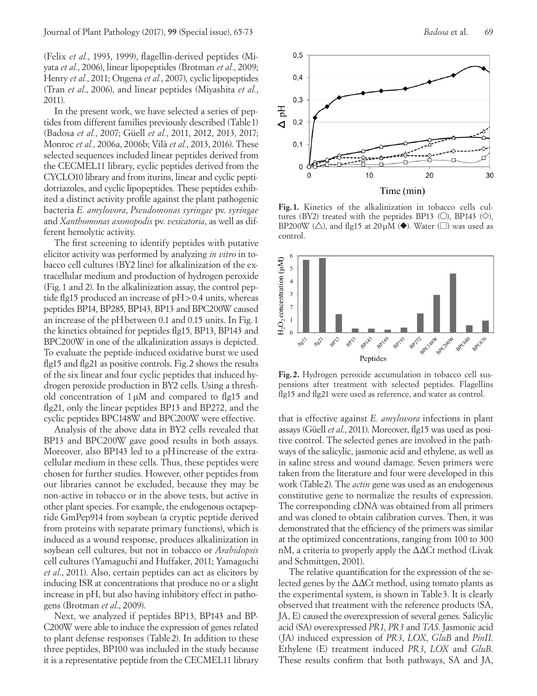(Felix *et al.*, 1993, 1999), flagellin-derived peptides (Miyata *et al.*, 2006), linear lipopeptides (Brotman *et al.*, 2009; Henry *et al.*, 2011; Ongena *et al.*, 2007), cyclic lipopeptides (Tran *et al*., 2006), and linear peptides (Miyashita *et al.*, 2011).

In the present work, we have selected a series of peptides from different families previously described (Table1) (Badosa *et al.*, 2007; Güell *et al.*, 2011, 2012, 2013, 2017; Monroc *et al.*, 2006a, 2006b; Vilà *et al.*, 2013, 2016). These selected sequences included linear peptides derived from the CECMEL11 library, cyclic peptides derived from the CYCLO10 library and from iturins, linear and cyclic peptidotriazoles, and cyclic lipopeptides. These peptides exhibited a distinct activity profile against the plant pathogenic bacteria *E. amylovora*, *Pseudomonas syringae* pv. *syringae* and *Xanthomonas axonopodis* pv. *vesicatoria*, as well as different hemolytic activity.

The first screening to identify peptides with putative elicitor activity was performed by analyzing *in vitro* in tobacco cell cultures (BY2 line) for alkalinization of the extracellular medium and production of hydrogen peroxide (Fig.1 and 2). In the alkalinization assay, the control peptide flg15 produced an increase of pH>0.4 units, whereas peptides BP14, BP285, BP143, BP13 and BPC200W caused an increase of the pHbetween 0.1 and 0.15 units. In Fig.1 the kinetics obtained for peptides flg15, BP13, BP143 and BPC200W in one of the alkalinization assays is depicted. To evaluate the peptide-induced oxidative burst we used flg15 and flg21 as positive controls. Fig.2 shows the results of the six linear and four cyclic peptides that induced hydrogen peroxide production in BY2 cells. Using a threshold concentration of 1μM and compared to flg15 and flg21, only the linear peptides BP13 and BP272, and the cyclic peptides BPC148W and BPC200W were effective.

Analysis of the above data in BY2 cells revealed that BP13 and BPC200W gave good results in both assays. Moreover, also BP143 led to a pHincrease of the extracellular medium in these cells. Thus, these peptides were chosen for further studies. However, other peptides from our libraries cannot be excluded, because they may be non-active in tobacco or in the above tests, but active in other plant species. For example, the endogenous octapeptide GmPep914 from soybean (a cryptic peptide derived from proteins with separate primary functions), which is induced as a wound response, produces alkalinization in soybean cell cultures, but not in tobacco or *Arabidopsis* cell cultures (Yamaguchi and Huffaker, 2011; Yamaguchi *et al*., 2011). Also, certain peptides can act as elicitors by inducing ISR at concentrations that produce no or a slight increase in pH, but also having inhibitory effect in pathogens (Brotman *et al*., 2009).

Next, we analyzed if peptides BP13, BP143 and BP-C200W were able to induce the expression of genes related to plant defense responses (Table 2). In addition to these three peptides, BP100 was included in the study because it is a representative peptide from the CECMEL11 library



**Fig.1.** Kinetics of the alkalinization in tobacco cells cultures (BY2) treated with the peptides BP13 ( $\circ$ ), BP143 ( $\diamondsuit$ ), BP200W ( $\triangle$ ), and flg15 at 20µM ( $\blacklozenge$ ). Water ( $\square$ ) was used as control.



**Fig.2.** Hydrogen peroxide accumulation in tobacco cell suspensions after treatment with selected peptides. Flagellins flg15 and flg21 were used as reference, and water as control.

that is effective against *E. amylovora* infections in plant assays (Güell *et al*., 2011). Moreover, flg15 was used as positive control. The selected genes are involved in the pathways of the salicylic, jasmonic acid and ethylene, as well as in saline stress and wound damage. Seven primers were taken from the literature and four were developed in this work (Table2). The *actin* gene was used as an endogenous constitutive gene to normalize the results of expression. The corresponding cDNA was obtained from all primers and was cloned to obtain calibration curves. Then, it was demonstrated that the efficiency of the primers was similar at the optimized concentrations, ranging from 100 to 300 nM, a criteria to properly apply the  $\Delta\Delta C$ t method (Livak and Schmittgen, 2001).

The relative quantification for the expression of the selected genes by the  $\Delta\Delta C$ t method, using tomato plants as the experimental system, is shown in Table 3. It is clearly observed that treatment with the reference products (SA, JA, E) caused the overexpression of several genes. Salicylic acid (SA) overexpressed *PR1*, *PR3* and *TAS*. Jasmonic acid (JA) induced expression of *PR3*, *LOX*, *GluB* and *PinII*. Ethylene (E) treatment induced *PR3*, *LOX* and *GluB*. These results confirm that both pathways, SA and JA,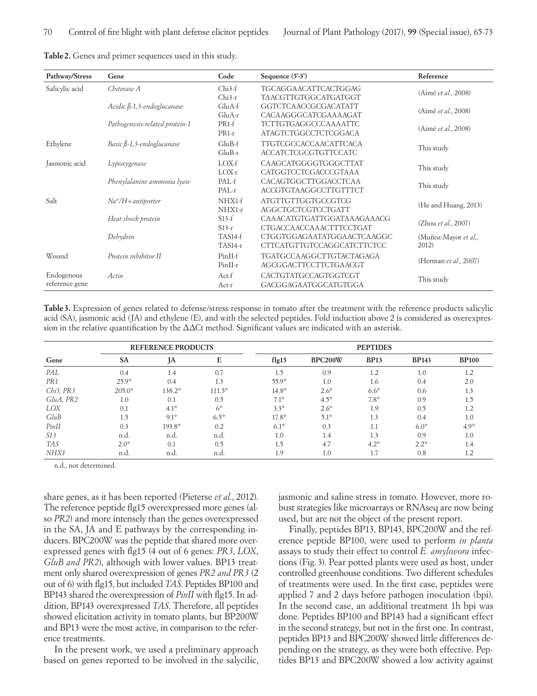| Pathway/Stress                           | Gene                                                                                                      | Code                                                  | Sequence $(5'3')$                                        | Reference                     |  |
|------------------------------------------|-----------------------------------------------------------------------------------------------------------|-------------------------------------------------------|----------------------------------------------------------|-------------------------------|--|
| Salicylic acid                           | Chitinase A                                                                                               | Chi3-f<br>$Chi3-r$                                    | TGCAGGAACATTCACTGGAG<br>TAACGTTGTGGCATGATGGT             | (Aimé et al., 2008)           |  |
|                                          | Acidic $\beta$ -1,3-endoglucanase                                                                         | GluA-f<br>$GluA-r$                                    | <b>GGTCTCAACCGCGACATATT</b><br>CACAAGGGCATCGAAAAGAT      | (Aimé et al., 2008)           |  |
|                                          | PR1-f<br>TCTTGTGAGGCCCAAAATTC<br>Pathogenesis-related protein-1<br><b>ATAGTCTGGCCTCTCGGACA</b><br>$PR1-r$ |                                                       | (Aimé et al., 2008)                                      |                               |  |
| Ethylene                                 | Basic $\beta$ -1,3-endoglucanase                                                                          | $GluB-f$<br>$GluB-r$                                  | TTGTCGCCACCAACATTCACA<br><b>ACCATCTCGCGTGTTCCATC</b>     | This study                    |  |
| Jasmonic acid                            | Lypoxygenase                                                                                              | $LOX-f$<br>$LOX-r$                                    | CAAGCATGGGGTGGGCTTAT<br>CATGGTCCTCGACCCGTAAA             | This study                    |  |
|                                          | Phenylalanine ammonia lyase                                                                               | PAL-f<br>$PAL-r$                                      | CACAGTGGCTTGGACCTCAA<br><b>ACCGTGTAAGGCCTTGTTTCT</b>     | This study                    |  |
| Salt                                     | $Na^+/H+antiporter$                                                                                       | NHX1-f<br>$NHX1-r$                                    | <b>ATGTTGTTGGTGCCGTCG</b><br><b>AGGCTGCTCGTCCTGATT</b>   | (He and Huang, 2013)          |  |
| $S13-f$<br>Heat shock protein<br>$S13-r$ |                                                                                                           | CAAACATGTGATTGGATAAAGAAACG<br>CTGACCAACCAAACTTTCCTGAT | (Zhou et al., 2007)                                      |                               |  |
|                                          | Dehydrin                                                                                                  | TAS14-f<br>$TAS14-r$                                  | CTGGTGGAGAATATGGAACTCAAGGC<br>CTTCATGTTGTCCAGGCATCTTCTCC | (Muñoz-Mayor et al.,<br>2012) |  |
| Wound                                    | Protein inhibitor II                                                                                      | PinII-f<br>$PinII-r$                                  | <b>TGATGCCAAGGCTTGTACTAGAGA</b><br>AGCGGACTTCCTTCTGAACGT | (Herman et al., 2007)         |  |
| Endogenous<br>reference gene             | Actin                                                                                                     | Act-f<br>Act-r                                        | CACTGTATGCCAGTGGTCGT<br>GACGGAGAATGGCATGTGGA             | This study                    |  |

**Table2.** Genes and primer sequences used in this study.

**Table3.** Expression of genes related to defense/stress response in tomato after the treatment with the reference products salicylic acid (SA), jasmonic acid (JA) and ethylene (E), and with the selected peptides. Fold induction above 2 is considered as overexpression in the relative quantification by the  $\Delta\Delta C$ t method. Significant values are indicated with an asterisk.

|                 |           | <b>REFERENCE PRODUCTS</b> |          |         |         | <b>PEPTIDES</b> |              |              |
|-----------------|-----------|---------------------------|----------|---------|---------|-----------------|--------------|--------------|
| Gene            | <b>SA</b> | JA                        | E        | flag15  | BPC200W | <b>BP13</b>     | <b>BP143</b> | <b>BP100</b> |
| PAL             | 0.4       | 1.4                       | 0.7      | 1.5     | 0.9     | 1.2             | 1.0          |              |
| PR <sub>1</sub> | $25.9*$   | 0.4                       | 1.3      | 55.9*   | 1.0     | 1.6             | 0.4          | 2.0          |
| $Chi3$ , $PR3$  | $205.0*$  | 138.2*                    | $111.5*$ | $14.8*$ | $2.6*$  | $6.6*$          | 0.6          | 1.3          |
| GluA, PR2       | 1.0       | 0.1                       | 0.5      | $7.1*$  | $4.5*$  | $7.8*$          | 0.9          | 1.5          |
| LOX             | 0.1       | $4.1*$                    | $6*$     | $3.3*$  | $2.6*$  | 1.9             | 0.5          | 1.2          |
| GluB            | 1.5       | $9.1*$                    | $6.5*$   | $17.8*$ | $5.1*$  | 1.3             | 0.4          | 1.0          |
| PinII           | 0.3       | 193.8*                    | 0.2      | $6.1*$  | 0.3     | 1.1             | $6.0*$       | $4.9*$       |
| S13             | n.d.      | n.d.                      | n.d.     | 1.0     | 1.4     | 1.3             | 0.9          | 1.0          |
| <b>TAS</b>      | $2.0*$    | 0.1                       | 0.5      | 1.5     | 4.7     | $4.2*$          | $2.2*$       | 1.4          |
| NHX1            | n.d.      | n.d.                      | n.d.     | 1.9     | 1.0     | 1.7             | 0.8          | 1.2          |

n.d., not determined.

share genes, as it has been reported (Pieterse *et al*., 2012). The reference peptide flg15 overexpressed more genes (also *PR2*) and more intensely than the genes overexpressed in the SA, JA and E pathways by the corresponding inducers. BPC200W was the peptide that shared more overexpressed genes with flg15 (4 out of 6 genes: *PR3*, *LOX*, *GluB and PR2*), although with lower values. BP13 treatment only shared overexpression of genes *PR2 and PR3* (2 out of 6) with flg15, but included *TAS*. Peptides BP100 and BP143 shared the overexpression of *PinII* with flg15. In addition, BP143 overexpressed *TAS*. Therefore, all peptides showed elicitation activity in tomato plants, but BP200W and BP13 were the most active, in comparison to the reference treatments.

In the present work, we used a preliminary approach based on genes reported to be involved in the salycilic, jasmonic and saline stress in tomato. However, more robust strategies like microarrays or RNAseq are now being used, but are not the object of the present report.

Finally, peptides BP13, BP143, BPC200W and the reference peptide BP100, were used to perform *in planta* assays to study their effect to control *E. amylovora* infections (Fig.3). Pear potted plants were used as host, under controlled greenhouse conditions. Two different schedules of treatments were used. In the first case, peptides were applied 7 and 2 days before pathogen inoculation (bpi). In the second case, an additional treatment 1h bpi was done. Peptides BP100 and BP143 had a significant effect in the second strategy, but not in the first one. In contrast, peptides BP13 and BPC200W showed little differences depending on the strategy, as they were both effective. Peptides BP13 and BPC200W showed a low activity against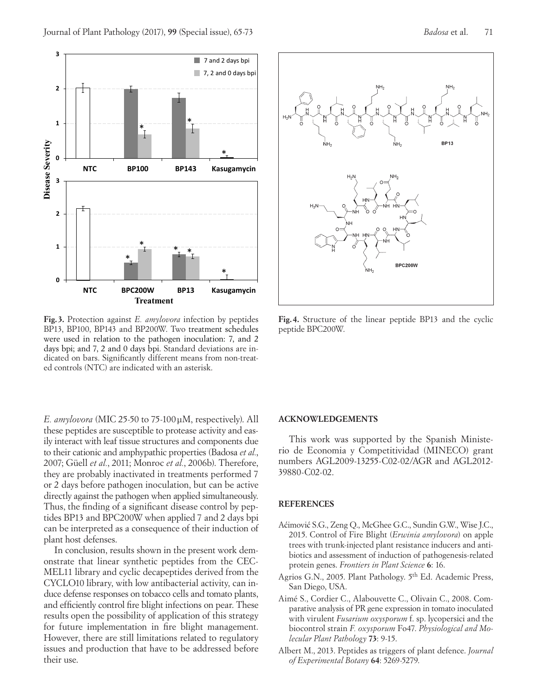

**Fig. 3.** Protection against *E. amylovora* infection by peptides BP13, BP100, BP143 and BP200W. Two treatment schedules were used in relation to the pathogen inoculation: 7, and 2 days bpi; and 7, 2 and 0 days bpi. Standard deviations are indicated on bars. Significantly different means from non-treated controls (NTC) are indicated with an asterisk.

*E. amylovora* (MIC 25-50 to 75-100μM, respectively). All these peptides are susceptible to protease activity and easily interact with leaf tissue structures and components due to their cationic and amphypathic properties (Badosa *et al.*, 2007; Güell *et al.*, 2011; Monroc *et al.*, 2006b). Therefore, they are probably inactivated in treatments performed 7 or 2 days before pathogen inoculation, but can be active directly against the pathogen when applied simultaneously. Thus, the finding of a significant disease control by peptides BP13 and BPC200W when applied 7 and 2 days bpi can be interpreted as a consequence of their induction of plant host defenses.

In conclusion, results shown in the present work demonstrate that linear synthetic peptides from the CEC-MEL11 library and cyclic decapeptides derived from the CYCLO10 library, with low antibacterial activity, can induce defense responses on tobacco cells and tomato plants, and efficiently control fire blight infections on pear. These results open the possibility of application of this strategy for future implementation in fire blight management. However, there are still limitations related to regulatory issues and production that have to be addressed before their use.



**Fig.4.** Structure of the linear peptide BP13 and the cyclic peptide BPC200W.

## **ACKNOWLEDGEMENTS**

This work was supported by the Spanish Ministerio de Economia y Competitividad (MINECO) grant numbers AGL2009-13255-C02-02/AGR and AGL2012- 39880-C02-02.

## **REFERENCES**

- Aćimović S.G., Zeng Q., McGhee G.C., Sundin G.W., Wise J.C., 2015. Control of Fire Blight (*Erwinia amylovora*) on apple trees with trunk-injected plant resistance inducers and antibiotics and assessment of induction of pathogenesis-related protein genes. *Frontiers in Plant Science* **6**: 16.
- Agrios G.N., 2005. Plant Pathology. 5th Ed. Academic Press, San Diego, USA.
- Aimé S., Cordier C., Alabouvette C., Olivain C., 2008. Comparative analysis of PR gene expression in tomato inoculated with virulent *Fusarium oxysporum* f. sp. lycopersici and the biocontrol strain *F. oxysporum* Fo47. *Physiological and Molecular Plant Pathology* **73**: 9-15.
- Albert M., 2013. Peptides as triggers of plant defence. *Journal of Experimental Botany* **64**: 5269-5279.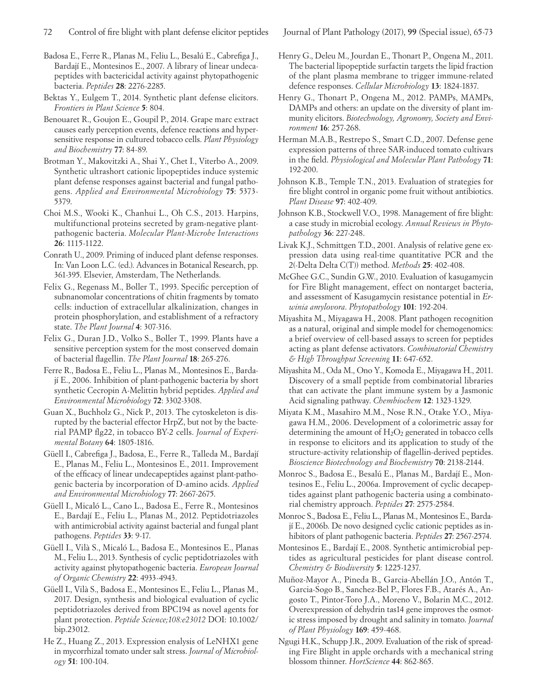- Badosa E., Ferre R., Planas M., Feliu L., Besalú E., Cabrefiga J., Bardají E., Montesinos E., 2007. A library of linear undecapeptides with bactericidal activity against phytopathogenic bacteria. *Peptides* **28**: 2276-2285.
- Bektas Y., Eulgem T., 2014. Synthetic plant defense elicitors. *Frontiers in Plant Science* **5**: 804.
- Benouaret R., Goujon E., Goupil P., 2014. Grape marc extract causes early perception events, defence reactions and hypersensitive response in cultured tobacco cells. *Plant Physiology and Biochemistry* **77**: 84-89.
- Brotman Y., Makovitzki A., Shai Y., Chet I., Viterbo A., 2009. Synthetic ultrashort cationic lipopeptides induce systemic plant defense responses against bacterial and fungal pathogens. *Applied and Environmental Microbiology* **75**: 5373- 5379.
- Choi M.S., Wooki K., Chanhui L., Oh C.S., 2013. Harpins, multifunctional proteins secreted by gram-negative plantpathogenic bacteria. *Molecular Plant-Microbe Interactions* **26**: 1115-1122.
- Conrath U., 2009. Priming of induced plant defense responses. In: Van Loon L.C. (ed.). Advances in Botanical Research, pp. 361-395. Elsevier, Amsterdam, The Netherlands.
- Felix G., Regenass M., Boller T., 1993. Specific perception of subnanomolar concentrations of chitin fragments by tomato cells: induction of extracellular alkalinization, changes in protein phosphorylation, and establishment of a refractory state. *The Plant Journal* **4**: 307-316.
- Felix G., Duran J.D., Volko S., Boller T., 1999. Plants have a sensitive perception system for the most conserved domain of bacterial flagellin. *The Plant Journal* **18**: 265-276.
- Ferre R., Badosa E., Feliu L., Planas M., Montesinos E., Bardají E., 2006. Inhibition of plant-pathogenic bacteria by short synthetic Cecropin A-Melittin hybrid peptides. *Applied and Environmental Microbiology* **72**: 3302-3308.
- Guan X., Buchholz G., Nick P., 2013. The cytoskeleton is disrupted by the bacterial effector HrpZ, but not by the bacterial PAMP flg22, in tobacco BY-2 cells. *Journal of Experimental Botany* **64**: 1805-1816.
- Güell I., Cabrefiga J., Badosa, E., Ferre R., Talleda M., Bardají E., Planas M., Feliu L., Montesinos E., 2011. Improvement of the efficacy of linear undecapeptides against plant-pathogenic bacteria by incorporation of D-amino acids. *Applied and Environmental Microbiology* **77**: 2667-2675.
- Güell I., Micaló L., Cano L., Badosa E., Ferre R., Montesinos E., Bardají E., Feliu L., Planas M., 2012. Peptidotriazoles with antimicrobial activity against bacterial and fungal plant pathogens. *Peptides* **33**: 9-17.
- Güell I., Vilà S., Micaló L., Badosa E., Montesinos E., Planas M., Feliu L., 2013. Synthesis of cyclic peptidotriazoles with activity against phytopathogenic bacteria. *European Journal of Organic Chemistry* **22**: 4933-4943.
- Güell I., Vilà S., Badosa E., Montesinos E., Feliu L., Planas M., 2017. Design, synthesis and biological evaluation of cyclic peptidotriazoles derived from BPC194 as novel agents for plant protection. *Peptide Science;108:e23012* DOI: 10.1002/ bip.23012.
- He Z., Huang Z., 2013. Expression enalysis of LeNHX1 gene in mycorrhizal tomato under salt stress. *Journal of Microbiology* **51**: 100-104.

- Henry G., Deleu M., Jourdan E., Thonart P., Ongena M., 2011. The bacterial lipopeptide surfactin targets the lipid fraction of the plant plasma membrane to trigger immune-related defence responses. *Cellular Microbiology* **13**: 1824-1837.
- Henry G., Thonart P., Ongena M., 2012. PAMPs, MAMPs, DAMPs and others: an update on the diversity of plant immunity elicitors. *Biotechnology, Agronomy, Society and Environment* **16**: 257-268.
- Herman M.A.B., Restrepo S., Smart C.D., 2007. Defense gene expression patterns of three SAR-induced tomato cultivars in the field. *Physiological and Molecular Plant Pathology* **71**: 192-200.
- Johnson K.B., Temple T.N., 2013. Evaluation of strategies for fire blight control in organic pome fruit without antibiotics. *Plant Disease* **97**: 402-409.
- Johnson K.B., Stockwell V.O., 1998. Management of fire blight: a case study in microbial ecology. *Annual Reviews in Phytopathology* **36**: 227-248.
- Livak K.J., Schmittgen T.D., 2001. Analysis of relative gene expression data using real-time quantitative PCR and the 2(-Delta Delta C(T)) method. *Methods* **25**: 402-408.
- McGhee G.C., Sundin G.W., 2010. Evaluation of kasugamycin for Fire Blight management, effect on nontarget bacteria, and assessment of Kasugamycin resistance potential in *Erwinia amylovora*. *Phytopathology* **101**: 192-204.
- Miyashita M., Miyagawa H., 2008. Plant pathogen recognition as a natural, original and simple model for chemogenomics: a brief overview of cell-based assays to screen for peptides acting as plant defense activators. *Combinatorial Chemistry & High Throughput Screening* **11**: 647-652.
- Miyashita M., Oda M., Ono Y., Komoda E., Miyagawa H., 2011. Discovery of a small peptide from combinatorial libraries that can activate the plant immune system by a Jasmonic Acid signaling pathway. *Chembiochem* **12**: 1323-1329.
- Miyata K.M., Masahiro M.M., Nose R.N., Otake Y.O., Miyagawa H.M., 2006. Development of a colorimetric assay for determining the amount of  $H_2O_2$  generated in tobacco cells in response to elicitors and its application to study of the structure-activity relationship of flagellin-derived peptides. *Bioscience Biotechnology and Biochemistry* **70**: 2138-2144.
- Monroc S., Badosa E., Besalú E., Planas M., Bardají E., Montesinos E., Feliu L., 2006a. Improvement of cyclic decapeptides against plant pathogenic bacteria using a combinatorial chemistry approach. *Peptides* **27**: 2575-2584.
- Monroc S., Badosa E., Feliu L., Planas M., Montesinos E., Bardají E., 2006b. De novo designed cyclic cationic peptides as inhibitors of plant pathogenic bacteria. *Peptides* **27**: 2567-2574.
- Montesinos E., Bardají E., 2008. Synthetic antimicrobial peptides as agricultural pesticides for plant disease control. *Chemistry & Biodiversity* **5**: 1225-1237.
- Muñoz-Mayor A., Pineda B., Garcia-Abellán J.O., Antón T., Garcia-Sogo B., Sanchez-Bel P., Flores F.B., Atarés A., Angosto T., Pintor-Toro J.A., Moreno V., Bolarin M.C., 2012. Overexpression of dehydrin tas14 gene improves the osmotic stress imposed by drought and salinity in tomato. *Journal of Plant Physiology* **169**: 459-468.
- Ngugi H.K., Schupp J.R., 2009. Evaluation of the risk of spreading Fire Blight in apple orchards with a mechanical string blossom thinner. *HortScience* **44**: 862-865.